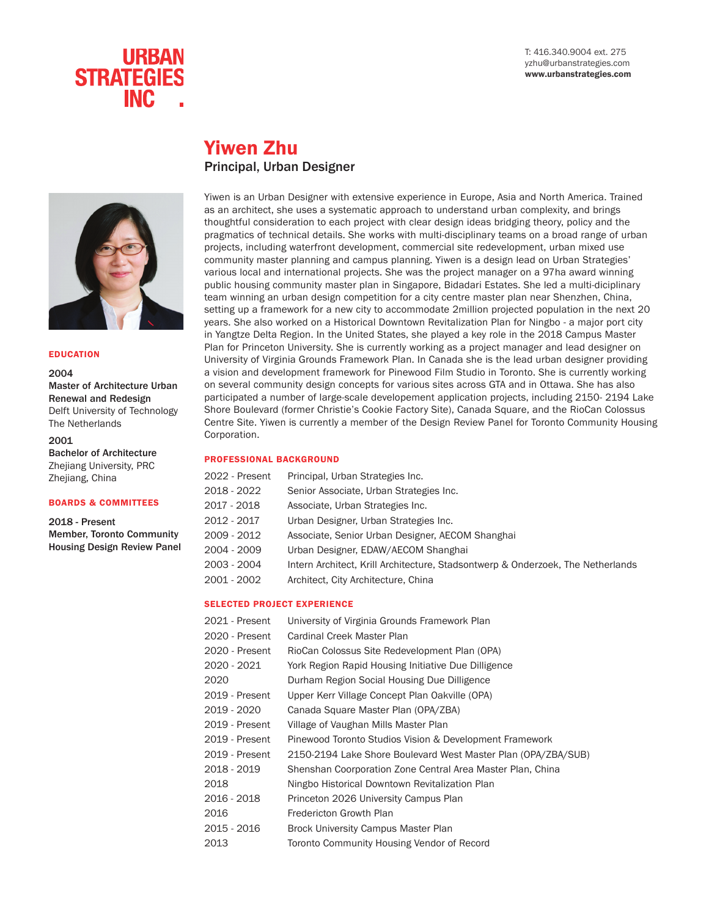T: 416.340.9004 ext. 275 yzhu@urbanstrategies.com www.urbanstrategies.com



# Yiwen Zhu Principal, Urban Designer



#### EDUCATION

2004

Master of Architecture Urban Renewal and Redesign Delft University of Technology The Netherlands

#### 2001

Bachelor of Architecture Zhejiang University, PRC Zhejiang, China

#### BOARDS & COMMITTEES

2018 - Present Member, Toronto Community Housing Design Review Panel Yiwen is an Urban Designer with extensive experience in Europe, Asia and North America. Trained as an architect, she uses a systematic approach to understand urban complexity, and brings thoughtful consideration to each project with clear design ideas bridging theory, policy and the pragmatics of technical details. She works with multi-disciplinary teams on a broad range of urban projects, including waterfront development, commercial site redevelopment, urban mixed use community master planning and campus planning. Yiwen is a design lead on Urban Strategies' various local and international projects. She was the project manager on a 97ha award winning public housing community master plan in Singapore, Bidadari Estates. She led a multi-diciplinary team winning an urban design competition for a city centre master plan near Shenzhen, China, setting up a framework for a new city to accommodate 2million projected population in the next 20 years. She also worked on a Historical Downtown Revitalization Plan for Ningbo - a major port city in Yangtze Delta Region. In the United States, she played a key role in the 2018 Campus Master Plan for Princeton University. She is currently working as a project manager and lead designer on University of Virginia Grounds Framework Plan. In Canada she is the lead urban designer providing a vision and development framework for Pinewood Film Studio in Toronto. She is currently working on several community design concepts for various sites across GTA and in Ottawa. She has also participated a number of large-scale developement application projects, including 2150- 2194 Lake Shore Boulevard (former Christie's Cookie Factory Site), Canada Square, and the RioCan Colossus Centre Site. Yiwen is currently a member of the Design Review Panel for Toronto Community Housing Corporation.

#### PROFESSIONAL BACKGROUND

| 2022 - Present | Principal, Urban Strategies Inc.                                                |
|----------------|---------------------------------------------------------------------------------|
| 2018 - 2022    | Senior Associate, Urban Strategies Inc.                                         |
| 2017 - 2018    | Associate, Urban Strategies Inc.                                                |
| 2012 - 2017    | Urban Designer, Urban Strategies Inc.                                           |
| 2009 - 2012    | Associate, Senior Urban Designer, AECOM Shanghai                                |
| 2004 - 2009    | Urban Designer, EDAW/AECOM Shanghai                                             |
| 2003 - 2004    | Intern Architect, Krill Architecture, Stadsontwerp & Onderzoek, The Netherlands |
| 2001 - 2002    | Architect, City Architecture, China                                             |
|                |                                                                                 |

#### SELECTED PROJECT EXPERIENCE

| 2021 - Present | University of Virginia Grounds Framework Plan                 |
|----------------|---------------------------------------------------------------|
| 2020 - Present | Cardinal Creek Master Plan                                    |
| 2020 - Present | RioCan Colossus Site Redevelopment Plan (OPA)                 |
| 2020 - 2021    | York Region Rapid Housing Initiative Due Dilligence           |
| 2020           | Durham Region Social Housing Due Dilligence                   |
| 2019 - Present | Upper Kerr Village Concept Plan Oakville (OPA)                |
| 2019 - 2020    | Canada Square Master Plan (OPA/ZBA)                           |
| 2019 - Present | Village of Vaughan Mills Master Plan                          |
| 2019 - Present | Pinewood Toronto Studios Vision & Development Framework       |
| 2019 - Present | 2150-2194 Lake Shore Boulevard West Master Plan (OPA/ZBA/SUB) |
| 2018 - 2019    | Shenshan Coorporation Zone Central Area Master Plan, China    |
| 2018           | Ningbo Historical Downtown Revitalization Plan                |
| 2016 - 2018    | Princeton 2026 University Campus Plan                         |
| 2016           | Fredericton Growth Plan                                       |
| 2015 - 2016    | Brock University Campus Master Plan                           |
| 2013           | Toronto Community Housing Vendor of Record                    |